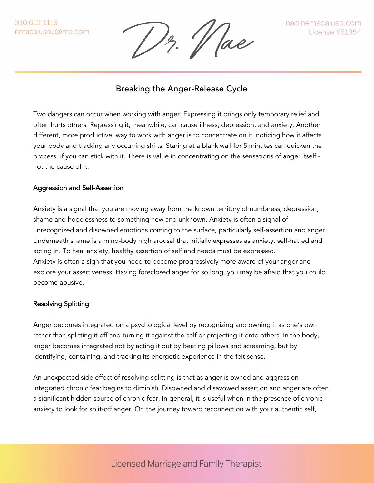310.612.1113 nmacaluso1@me.com

Hae

nadinemacaluso.com **License #81854** 

## Breaking the Anger-Release Cycle

Two dangers can occur when working with anger. Expressing it brings only temporary relief and often hurts others. Repressing it, meanwhile, can cause illness, depression, and anxiety. Another different, more productive, way to work with anger is to concentrate on it, noticing how it affects your body and tracking any occurring shifts. Staring at a blank wall for 5 minutes can quicken the process, if you can stick with it. There is value in concentrating on the sensations of anger itself not the cause of it.

## Aggression and Self-Assertion

Anxiety is a signal that you are moving away from the known territory of numbness, depression, shame and hopelessness to something new and unknown. Anxiety is often a signal of unrecognized and disowned emotions coming to the surface, particularly self-assertion and anger. Underneath shame is a mind-body high arousal that initially expresses as anxiety, self-hatred and acting in. To heal anxiety, healthy assertion of self and needs must be expressed. Anxiety is often a sign that you need to become progressively more aware of your anger and explore your assertiveness. Having foreclosed anger for so long, you may be afraid that you could become abusive.

## Resolving Splitting

Anger becomes integrated on a psychological level by recognizing and owning it as one's own rather than splitting it off and turning it against the self or projecting it onto others. In the body, anger becomes integrated not by acting it out by beating pillows and screaming, but by identifying, containing, and tracking its energetic experience in the felt sense.

An unexpected side effect of resolving splitting is that as anger is owned and aggression integrated chronic fear begins to diminish. Disowned and disavowed assertion and anger are often a significant hidden source of chronic fear. In general, it is useful when in the presence of chronic anxiety to look for split-off anger. On the journey toward reconnection with your authentic self,